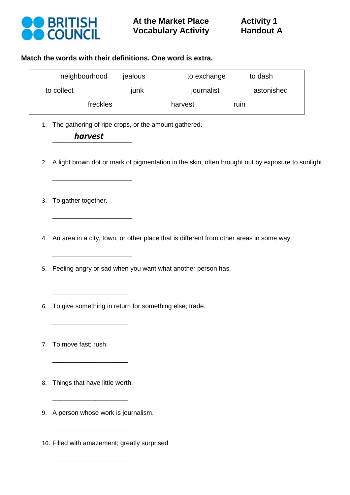

#### **Match the words with their definitions. One word is extra.**

| neighbourhood | jealous | to exchange | to dash    |  |  |
|---------------|---------|-------------|------------|--|--|
| to collect    | junk    | journalist  | astonished |  |  |
| freckles      |         | harvest     | ruin       |  |  |

1. The gathering of ripe crops, or the amount gathered.

 *harvest* \_\_\_\_\_\_\_\_\_\_\_\_\_\_\_\_\_\_\_\_\_\_

\_\_\_\_\_\_\_\_\_\_\_\_\_\_\_\_\_\_\_\_\_\_

\_\_\_\_\_\_\_\_\_\_\_\_\_\_\_\_\_\_\_\_\_\_

\_\_\_\_\_\_\_\_\_\_\_\_\_\_\_\_\_\_\_\_\_\_

 $\overline{\phantom{a}}$  , where  $\overline{\phantom{a}}$  , where  $\overline{\phantom{a}}$  , where  $\overline{\phantom{a}}$ 

\_\_\_\_\_\_\_\_\_\_\_\_\_\_\_\_\_\_\_\_\_

- 2. A light brown dot or mark of pigmentation in the skin, often brought out by exposure to sunlight.
- 3. To gather together.
- 4. An area in a city, town, or other place that is different from other areas in some way.
- 5. Feeling angry or sad when you want what another person has.
- 6. To give something in return for something else; trade.
- 7. To move fast; rush.
- 8. Things that have little worth.

\_\_\_\_\_\_\_\_\_\_\_\_\_\_\_\_\_\_\_\_\_

\_\_\_\_\_\_\_\_\_\_\_\_\_\_\_\_\_\_\_\_\_

\_\_\_\_\_\_\_\_\_\_\_\_\_\_\_\_\_\_\_\_\_

\_\_\_\_\_\_\_\_\_\_\_\_\_\_\_\_\_\_\_\_\_

9. A person whose work is journalism.

10. Filled with amazement; greatly surprised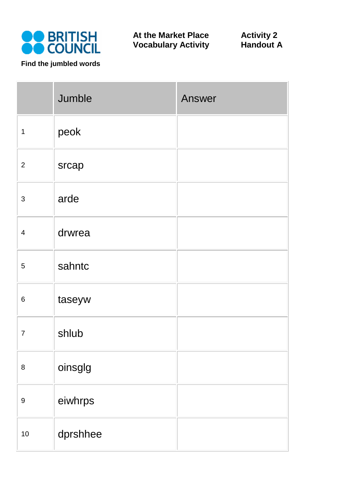

Jumble **Answer**  $1$  | peok <sup>2</sup> srcap <sup>3</sup> arde <sup>4</sup> drwrea <sup>5</sup> sahntc 6 **taseyw** <sup>7</sup> shlub 8 | oinsglg <sup>9</sup> eiwhrps 10 dprshhee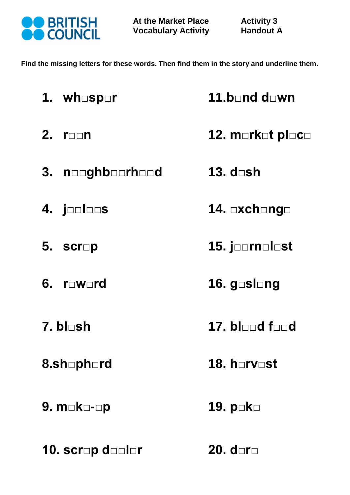

**Find the missing letters for these words. Then find them in the story and underline them.** 

| 1. wh <b>□sp</b> □r                | 11.b□nd d□wn          |  |  |  |  |
|------------------------------------|-----------------------|--|--|--|--|
| 2. $r_{\square \square}n$          | 12. m⊡rk⊟t pl⊟c⊟      |  |  |  |  |
| 3. nooghboorhood                   | 13. d <b>⊓sh</b>      |  |  |  |  |
| 4. jooloos                         | 14. <b>□xch</b> □ng□  |  |  |  |  |
| 5. $scr$                           | 15. joornolost        |  |  |  |  |
| 6. $r_$ werd                       | 16. g <b>⊟sl</b> ⊟ng  |  |  |  |  |
| 7. bl⊓sh                           | 17. bl⊟⊟d f⊟⊟d        |  |  |  |  |
| 18. horvost<br>8.sh <b>□ph</b> □rd |                       |  |  |  |  |
| 9. m <b>□k</b> □-□p                | 19. p <b>ok</b> o     |  |  |  |  |
| 10. scr⊡p d <b>⊡</b> ⊟l⊟r          | 20. d $\Box$ r $\Box$ |  |  |  |  |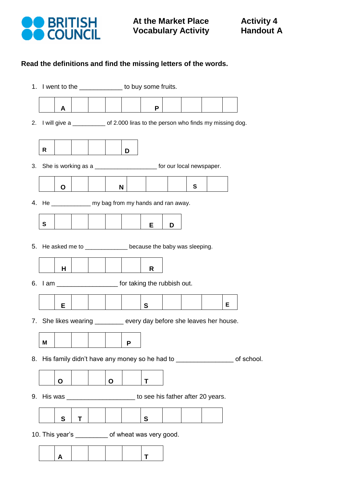

# **Read the definitions and find the missing letters of the words.**

|    | 1. I went to the ______________ to buy some fruits.                             |   |   |  |   |   |                                                                                  |   |           |  |   |  |
|----|---------------------------------------------------------------------------------|---|---|--|---|---|----------------------------------------------------------------------------------|---|-----------|--|---|--|
|    |                                                                                 | A |   |  |   |   | P                                                                                |   |           |  |   |  |
| 2. |                                                                                 |   |   |  |   |   | I will give a ___________ of 2.000 liras to the person who finds my missing dog. |   |           |  |   |  |
|    |                                                                                 |   |   |  |   |   |                                                                                  |   |           |  |   |  |
|    | R                                                                               |   |   |  |   | D |                                                                                  |   |           |  |   |  |
| 3. | She is working as a _________________________ for our local newspaper.          |   |   |  |   |   |                                                                                  |   |           |  |   |  |
|    |                                                                                 | O |   |  | N |   |                                                                                  |   | ${\bf S}$ |  |   |  |
|    | 4. He _______________ my bag from my hands and ran away.                        |   |   |  |   |   |                                                                                  |   |           |  |   |  |
|    | ${\bf S}$                                                                       |   |   |  |   |   | Е                                                                                | D |           |  |   |  |
|    |                                                                                 |   |   |  |   |   |                                                                                  |   |           |  |   |  |
| 5. |                                                                                 |   |   |  |   |   | He asked me to _______________ because the baby was sleeping.                    |   |           |  |   |  |
|    |                                                                                 | н |   |  |   |   | R                                                                                |   |           |  |   |  |
|    | 6. I am ________________________ for taking the rubbish out.                    |   |   |  |   |   |                                                                                  |   |           |  |   |  |
|    |                                                                                 | Е |   |  |   |   | S                                                                                |   |           |  | Е |  |
| 7. |                                                                                 |   |   |  |   |   | She likes wearing ________ every day before she leaves her house.                |   |           |  |   |  |
|    | M                                                                               |   |   |  |   | P |                                                                                  |   |           |  |   |  |
| 8. | His family didn't have any money so he had to ______________________ of school. |   |   |  |   |   |                                                                                  |   |           |  |   |  |
|    |                                                                                 | Ο |   |  | O |   | Т                                                                                |   |           |  |   |  |
| 9. | His was _________________________ to see his father after 20 years.             |   |   |  |   |   |                                                                                  |   |           |  |   |  |
|    |                                                                                 | S | Τ |  |   |   | $\mathbf s$                                                                      |   |           |  |   |  |
|    | 10. This year's ___________ of wheat was very good.                             |   |   |  |   |   |                                                                                  |   |           |  |   |  |
|    |                                                                                 |   |   |  |   |   |                                                                                  |   |           |  |   |  |
|    |                                                                                 | A |   |  |   |   | Т                                                                                |   |           |  |   |  |